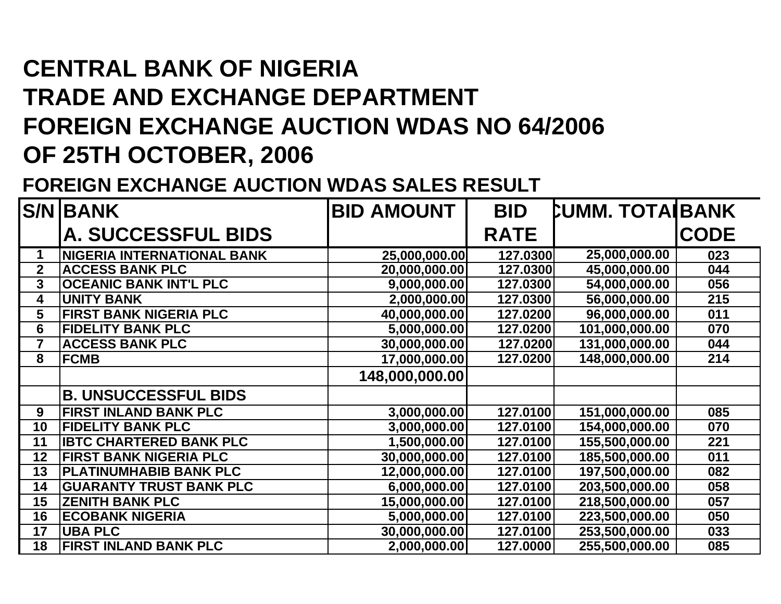## **CENTRAL BANK OF NIGERIA TRADE AND EXCHANGE DEPARTMENT FOREIGN EXCHANGE AUCTION WDAS NO 64/2006 OF 25TH OCTOBER, 2006**

## **FOREIGN EXCHANGE AUCTION WDAS SALES RESULT**

|                | <b>S/N BANK</b>                   | <b>BID AMOUNT</b> | <b>BID</b>  | <b>CUMM. TOTA BANK</b> |             |
|----------------|-----------------------------------|-------------------|-------------|------------------------|-------------|
|                | <b>A. SUCCESSFUL BIDS</b>         |                   | <b>RATE</b> |                        | <b>CODE</b> |
| 1              | <b>NIGERIA INTERNATIONAL BANK</b> | 25,000,000.00     | 127.0300    | 25,000,000.00          | 023         |
| $\mathbf{2}$   | <b>ACCESS BANK PLC</b>            | 20,000,000.00     | 127.0300    | 45,000,000.00          | 044         |
| 3              | <b>OCEANIC BANK INT'L PLC</b>     | 9,000,000.00      | 127.0300    | 54,000,000.00          | 056         |
| 4              | <b>UNITY BANK</b>                 | 2,000,000.00      | 127.0300    | 56,000,000.00          | 215         |
| 5              | <b>FIRST BANK NIGERIA PLC</b>     | 40,000,000.00     | 127.0200    | 96,000,000.00          | 011         |
| 6              | <b>FIDELITY BANK PLC</b>          | 5,000,000.00      | 127.0200    | 101,000,000.00         | 070         |
| $\overline{7}$ | <b>ACCESS BANK PLC</b>            | 30,000,000.00     | 127.0200    | 131,000,000.00         | 044         |
| 8              | <b>FCMB</b>                       | 17,000,000.00     | 127.0200    | 148,000,000.00         | 214         |
|                |                                   | 148,000,000.00    |             |                        |             |
|                | <b>B. UNSUCCESSFUL BIDS</b>       |                   |             |                        |             |
| 9              | <b>FIRST INLAND BANK PLC</b>      | 3,000,000.00      | 127.0100    | 151,000,000.00         | 085         |
| 10             | <b>FIDELITY BANK PLC</b>          | 3,000,000.00      | 127.0100    | 154,000,000.00         | 070         |
| 11             | <b>IBTC CHARTERED BANK PLC</b>    | 1,500,000.00      | 127.0100    | 155,500,000.00         | 221         |
| 12             | <b>FIRST BANK NIGERIA PLC</b>     | 30,000,000.00     | 127.0100    | 185,500,000.00         | 011         |
| 13             | <b>PLATINUMHABIB BANK PLC</b>     | 12,000,000.00     | 127.0100    | 197,500,000.00         | 082         |
| 14             | <b>GUARANTY TRUST BANK PLC</b>    | 6,000,000.00      | 127.0100    | 203,500,000.00         | 058         |
| 15             | <b>ZENITH BANK PLC</b>            | 15,000,000.00     | 127.0100    | 218,500,000.00         | 057         |
| 16             | <b>ECOBANK NIGERIA</b>            | 5,000,000.00      | 127.0100    | 223,500,000.00         | 050         |
| 17             | <b>UBA PLC</b>                    | 30,000,000.00     | 127.0100    | 253,500,000.00         | 033         |
| 18             | FIRST INLAND BANK PLC             | 2,000,000.00      | 127.0000    | 255,500,000.00         | 085         |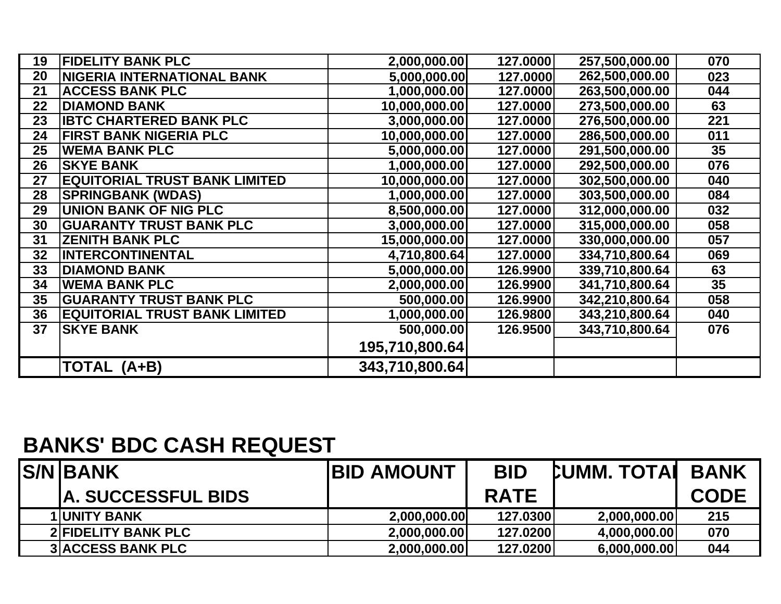| 19 | <b>FIDELITY BANK PLC</b>             | 2,000,000.00   | 127.0000 | 257,500,000.00 | 070 |
|----|--------------------------------------|----------------|----------|----------------|-----|
| 20 | <b>NIGERIA INTERNATIONAL BANK</b>    | 5,000,000.00   | 127.0000 | 262,500,000.00 | 023 |
| 21 | <b>ACCESS BANK PLC</b>               | 1,000,000.00   | 127.0000 | 263,500,000.00 | 044 |
| 22 | <b>DIAMOND BANK</b>                  | 10,000,000.00  | 127.0000 | 273,500,000.00 | 63  |
| 23 | <b>IBTC CHARTERED BANK PLC</b>       | 3,000,000.00   | 127.0000 | 276,500,000.00 | 221 |
| 24 | <b>FIRST BANK NIGERIA PLC</b>        | 10,000,000.00  | 127.0000 | 286,500,000.00 | 011 |
| 25 | <b>WEMA BANK PLC</b>                 | 5,000,000.00   | 127.0000 | 291,500,000.00 | 35  |
| 26 | <b>SKYE BANK</b>                     | 1,000,000.00   | 127.0000 | 292,500,000.00 | 076 |
| 27 | <b>EQUITORIAL TRUST BANK LIMITED</b> | 10,000,000.00  | 127.0000 | 302,500,000.00 | 040 |
| 28 | <b>SPRINGBANK (WDAS)</b>             | 1,000,000.00   | 127.0000 | 303,500,000.00 | 084 |
| 29 | <b>UNION BANK OF NIG PLC</b>         | 8,500,000.00   | 127.0000 | 312,000,000.00 | 032 |
| 30 | <b>GUARANTY TRUST BANK PLC</b>       | 3,000,000.00   | 127.0000 | 315,000,000.00 | 058 |
| 31 | <b>ZENITH BANK PLC</b>               | 15,000,000.00  | 127.0000 | 330,000,000.00 | 057 |
| 32 | <b>INTERCONTINENTAL</b>              | 4,710,800.64   | 127.0000 | 334,710,800.64 | 069 |
| 33 | <b>DIAMOND BANK</b>                  | 5,000,000.00   | 126.9900 | 339,710,800.64 | 63  |
| 34 | <b>WEMA BANK PLC</b>                 | 2,000,000.00   | 126.9900 | 341,710,800.64 | 35  |
| 35 | <b>GUARANTY TRUST BANK PLC</b>       | 500,000.00     | 126.9900 | 342,210,800.64 | 058 |
| 36 | <b>EQUITORIAL TRUST BANK LIMITED</b> | 1,000,000.00   | 126.9800 | 343,210,800.64 | 040 |
| 37 | <b>SKYE BANK</b>                     | 500,000.00     | 126.9500 | 343,710,800.64 | 076 |
|    |                                      | 195,710,800.64 |          |                |     |
|    | TOTAL (A+B)                          | 343,710,800.64 |          |                |     |

## **BANKS' BDC CASH REQUEST**

| <b>S/NBANK</b>             | <b>IBID AMOUNT</b> | <b>BID</b>  | <b>CUMM. TOTAL BANK</b> |             |
|----------------------------|--------------------|-------------|-------------------------|-------------|
| <b>A. SUCCESSFUL BIDS</b>  |                    | <b>RATE</b> |                         | <b>CODE</b> |
| <b>1 UNITY BANK</b>        | 2,000,000.00       | 127.0300    | 2,000,000.00            | 215         |
| <b>2 FIDELITY BANK PLC</b> | 2,000,000.00       | 127.0200    | 4,000,000.00            | 070         |
| <b>3 ACCESS BANK PLC</b>   | 2,000,000.00       | 127.0200    | 6,000,000.00            | 044         |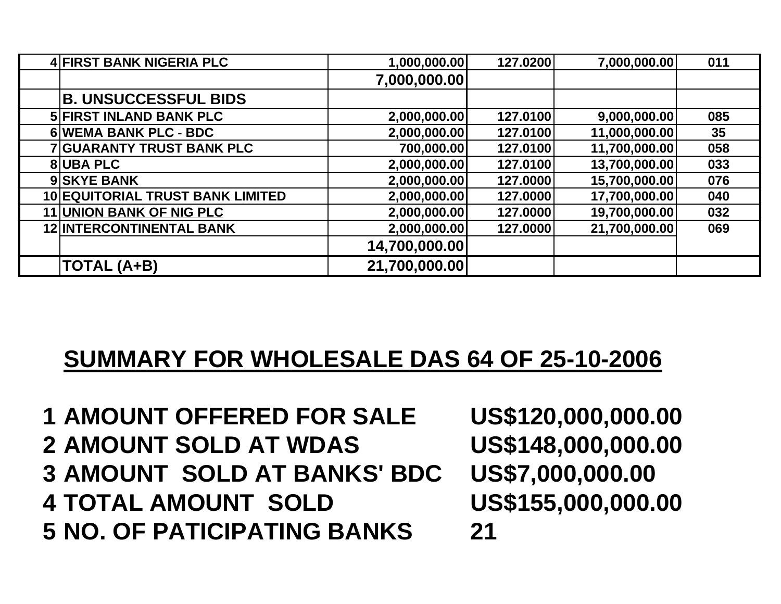| 4 FIRST BANK NIGERIA PLC                | 1,000,000.00  | 127.0200 | 7,000,000.00  | 011 |
|-----------------------------------------|---------------|----------|---------------|-----|
|                                         | 7,000,000.00  |          |               |     |
| <b>B. UNSUCCESSFUL BIDS</b>             |               |          |               |     |
| <b>5 FIRST INLAND BANK PLC</b>          | 2,000,000.00  | 127.0100 | 9,000,000.00  | 085 |
| 6 WEMA BANK PLC - BDC                   | 2,000,000.00  | 127.0100 | 11,000,000.00 | 35  |
| <b>7 GUARANTY TRUST BANK PLC</b>        | 700,000.00    | 127.0100 | 11,700,000.00 | 058 |
| <b>8UBA PLC</b>                         | 2,000,000.00  | 127.0100 | 13,700,000.00 | 033 |
| 9 SKYE BANK                             | 2,000,000.00  | 127.0000 | 15,700,000.00 | 076 |
| <b>10 EQUITORIAL TRUST BANK LIMITED</b> | 2,000,000.00  | 127.0000 | 17,700,000.00 | 040 |
| 11 UNION BANK OF NIG PLC                | 2,000,000.00  | 127.0000 | 19,700,000.00 | 032 |
| <b>12 INTERCONTINENTAL BANK</b>         | 2,000,000.00  | 127.0000 | 21,700,000.00 | 069 |
|                                         | 14,700,000.00 |          |               |     |
| <b>TOTAL (A+B)</b>                      | 21,700,000.00 |          |               |     |

## **SUMMARY FOR WHOLESALE DAS 64 OF 25-10-2006**

 **AMOUNT OFFERED FOR SALE US\$120,000,000.00 AMOUNT SOLD AT WDAS US\$148,000,000.00 AMOUNT SOLD AT BANKS' BDC US\$7,000,000.00 TOTAL AMOUNT SOLD US\$155,000,000.00 NO. OF PATICIPATING BANKS 21**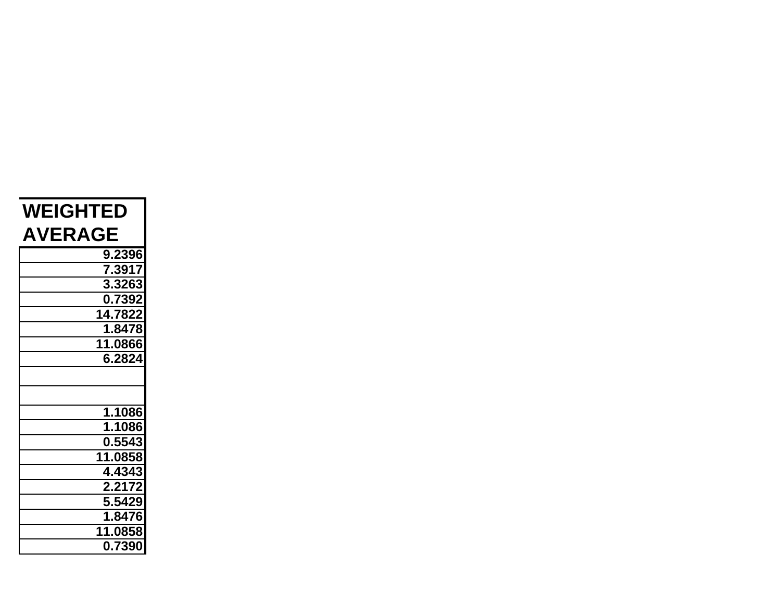| <b>WEIGHTED</b> |  |  |  |  |
|-----------------|--|--|--|--|
| <b>AVERAGE</b>  |  |  |  |  |
| 9.2396          |  |  |  |  |
| 7.3917          |  |  |  |  |
| 3.3263          |  |  |  |  |
| 0.7392          |  |  |  |  |
| 14.7822         |  |  |  |  |
| 1.8478          |  |  |  |  |
| 11.0866         |  |  |  |  |
| 6.2824          |  |  |  |  |
|                 |  |  |  |  |
|                 |  |  |  |  |
| 1.1086          |  |  |  |  |
| 1.1086          |  |  |  |  |
| 0.5543          |  |  |  |  |
| 11.0858         |  |  |  |  |
| 4.4343          |  |  |  |  |
| 2.2172          |  |  |  |  |
| 5.5429          |  |  |  |  |
| 1.8476          |  |  |  |  |
| 11.0858         |  |  |  |  |
| 0.7390          |  |  |  |  |